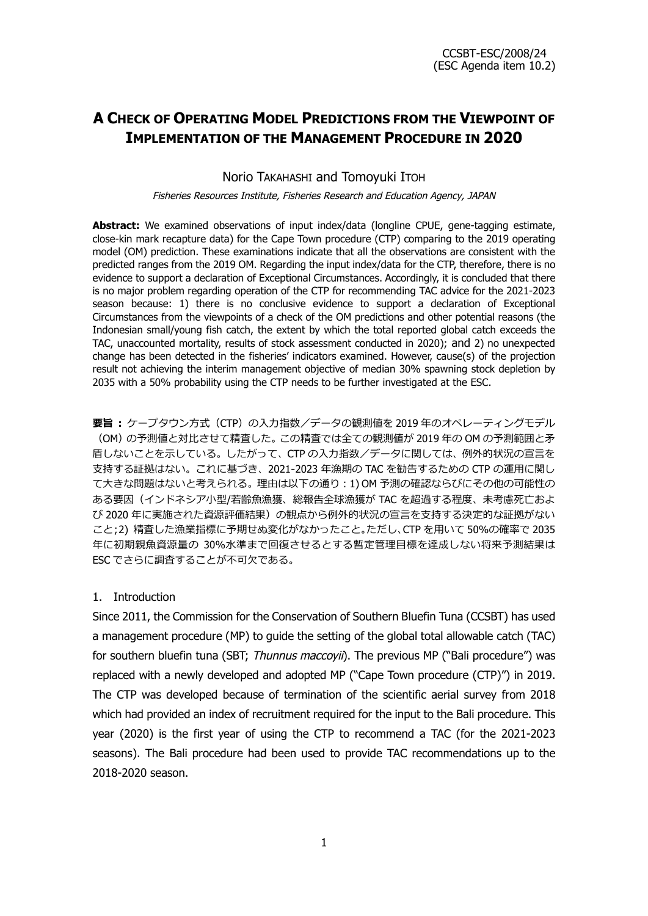# **A CHECK OF OPERATING MODEL PREDICTIONS FROM THE VIEWPOINT OF IMPLEMENTATION OF THE MANAGEMENT PROCEDURE IN 2020**

Norio TAKAHASHI and Tomoyuki ITOH

Fisheries Resources Institute, Fisheries Research and Education Agency, JAPAN

**Abstract:** We examined observations of input index/data (longline CPUE, gene-tagging estimate, close-kin mark recapture data) for the Cape Town procedure (CTP) comparing to the 2019 operating model (OM) prediction. These examinations indicate that all the observations are consistent with the predicted ranges from the 2019 OM. Regarding the input index/data for the CTP, therefore, there is no evidence to support a declaration of Exceptional Circumstances. Accordingly, it is concluded that there is no major problem regarding operation of the CTP for recommending TAC advice for the 2021-2023 season because: 1) there is no conclusive evidence to support a declaration of Exceptional Circumstances from the viewpoints of a check of the OM predictions and other potential reasons (the Indonesian small/young fish catch, the extent by which the total reported global catch exceeds the TAC, unaccounted mortality, results of stock assessment conducted in 2020); and 2) no unexpected change has been detected in the fisheries' indicators examined. However, cause(s) of the projection result not achieving the interim management objective of median 30% spawning stock depletion by 2035 with a 50% probability using the CTP needs to be further investigated at the ESC.

**要旨 :** ケープタウン方式(CTP)の入力指数/データの観測値を 2019 年のオペレーティングモデル (OM)の予測値と対比させて精査した。この精査では全ての観測値が 2019 年の OM の予測範囲と矛 盾しないことを示している。したがって、CTP の入力指数/データに関しては、例外的状況の宣言を 支持する証拠はない。これに基づき、2021‐2023 年漁期の TAC を勧告するための CTP の運用に関し て大きな問題はないと考えられる。理由は以下の通り:1) OM 予測の確認ならびにその他の可能性の ある要因(インドネシア小型/若齢魚漁獲、総報告全球漁獲が TAC を超過する程度、未考慮死亡およ び 2020 年に実施された資源評価結果)の観点から例外的状況の宣言を支持する決定的な証拠がない こと;2) 精査した漁業指標に予期せぬ変化がなかったこと。ただし、CTP を用いて 50%の確率で 2035 年に初期親魚資源量の 30%水準まで回復させるとする暫定管理目標を達成しない将来予測結果は ESC でさらに調査することが不可欠である。

# 1. Introduction

Since 2011, the Commission for the Conservation of Southern Bluefin Tuna (CCSBT) has used a management procedure (MP) to guide the setting of the global total allowable catch (TAC) for southern bluefin tuna (SBT; Thunnus maccoyii). The previous MP ("Bali procedure") was replaced with a newly developed and adopted MP ("Cape Town procedure (CTP)") in 2019. The CTP was developed because of termination of the scientific aerial survey from 2018 which had provided an index of recruitment required for the input to the Bali procedure. This year (2020) is the first year of using the CTP to recommend a TAC (for the 2021-2023 seasons). The Bali procedure had been used to provide TAC recommendations up to the 2018-2020 season.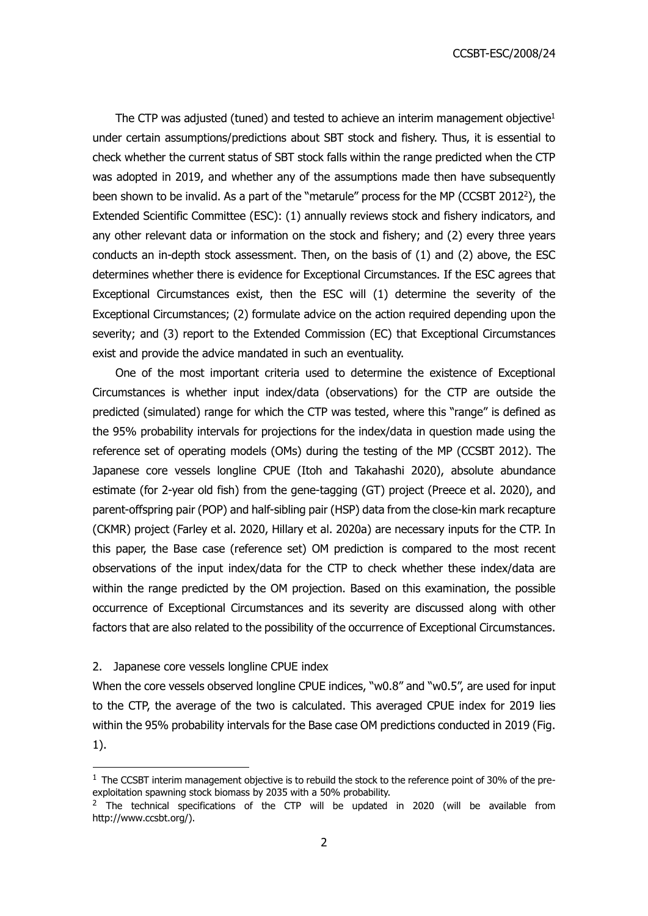CCSBT-ESC/2008/24

The CTP was adjusted (tuned) and tested to achieve an interim management objective<sup>1</sup> under certain assumptions/predictions about SBT stock and fishery. Thus, it is essential to check whether the current status of SBT stock falls within the range predicted when the CTP was adopted in 2019, and whether any of the assumptions made then have subsequently been shown to be invalid. As a part of the "metarule" process for the MP (CCSBT 2012<sup>2</sup>), the Extended Scientific Committee (ESC): (1) annually reviews stock and fishery indicators, and any other relevant data or information on the stock and fishery; and (2) every three years conducts an in-depth stock assessment. Then, on the basis of (1) and (2) above, the ESC determines whether there is evidence for Exceptional Circumstances. If the ESC agrees that Exceptional Circumstances exist, then the ESC will (1) determine the severity of the Exceptional Circumstances; (2) formulate advice on the action required depending upon the severity; and (3) report to the Extended Commission (EC) that Exceptional Circumstances exist and provide the advice mandated in such an eventuality.

One of the most important criteria used to determine the existence of Exceptional Circumstances is whether input index/data (observations) for the CTP are outside the predicted (simulated) range for which the CTP was tested, where this "range" is defined as the 95% probability intervals for projections for the index/data in question made using the reference set of operating models (OMs) during the testing of the MP (CCSBT 2012). The Japanese core vessels longline CPUE (Itoh and Takahashi 2020), absolute abundance estimate (for 2-year old fish) from the gene-tagging (GT) project (Preece et al. 2020), and parent-offspring pair (POP) and half-sibling pair (HSP) data from the close-kin mark recapture (CKMR) project (Farley et al. 2020, Hillary et al. 2020a) are necessary inputs for the CTP. In this paper, the Base case (reference set) OM prediction is compared to the most recent observations of the input index/data for the CTP to check whether these index/data are within the range predicted by the OM projection. Based on this examination, the possible occurrence of Exceptional Circumstances and its severity are discussed along with other factors that are also related to the possibility of the occurrence of Exceptional Circumstances.

2. Japanese core vessels longline CPUE index

When the core vessels observed longline CPUE indices, "w0.8" and "w0.5", are used for input to the CTP, the average of the two is calculated. This averaged CPUE index for 2019 lies within the 95% probability intervals for the Base case OM predictions conducted in 2019 (Fig. 1).

 $1$  The CCSBT interim management objective is to rebuild the stock to the reference point of 30% of the preexploitation spawning stock biomass by 2035 with a 50% probability.

 $2$  The technical specifications of the CTP will be updated in 2020 (will be available from http://www.ccsbt.org/).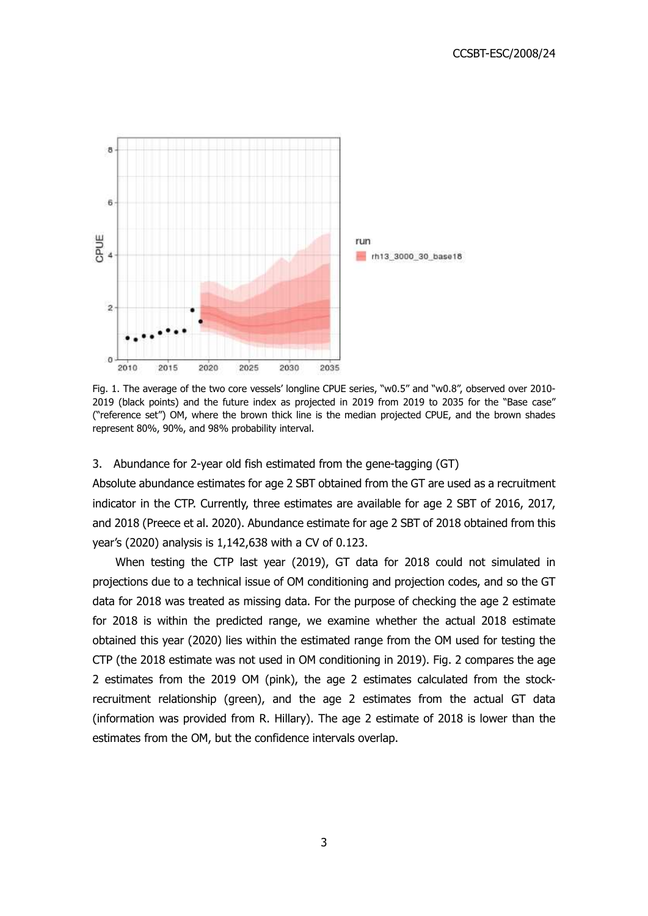

Fig. 1. The average of the two core vessels' longline CPUE series, "w0.5" and "w0.8", observed over 2010- 2019 (black points) and the future index as projected in 2019 from 2019 to 2035 for the "Base case" ("reference set") OM, where the brown thick line is the median projected CPUE, and the brown shades represent 80%, 90%, and 98% probability interval.

# 3. Abundance for 2-year old fish estimated from the gene-tagging (GT)

Absolute abundance estimates for age 2 SBT obtained from the GT are used as a recruitment indicator in the CTP. Currently, three estimates are available for age 2 SBT of 2016, 2017, and 2018 (Preece et al. 2020). Abundance estimate for age 2 SBT of 2018 obtained from this year's (2020) analysis is 1,142,638 with a CV of 0.123.

When testing the CTP last year (2019), GT data for 2018 could not simulated in projections due to a technical issue of OM conditioning and projection codes, and so the GT data for 2018 was treated as missing data. For the purpose of checking the age 2 estimate for 2018 is within the predicted range, we examine whether the actual 2018 estimate obtained this year (2020) lies within the estimated range from the OM used for testing the CTP (the 2018 estimate was not used in OM conditioning in 2019). Fig. 2 compares the age 2 estimates from the 2019 OM (pink), the age 2 estimates calculated from the stockrecruitment relationship (green), and the age 2 estimates from the actual GT data (information was provided from R. Hillary). The age 2 estimate of 2018 is lower than the estimates from the OM, but the confidence intervals overlap.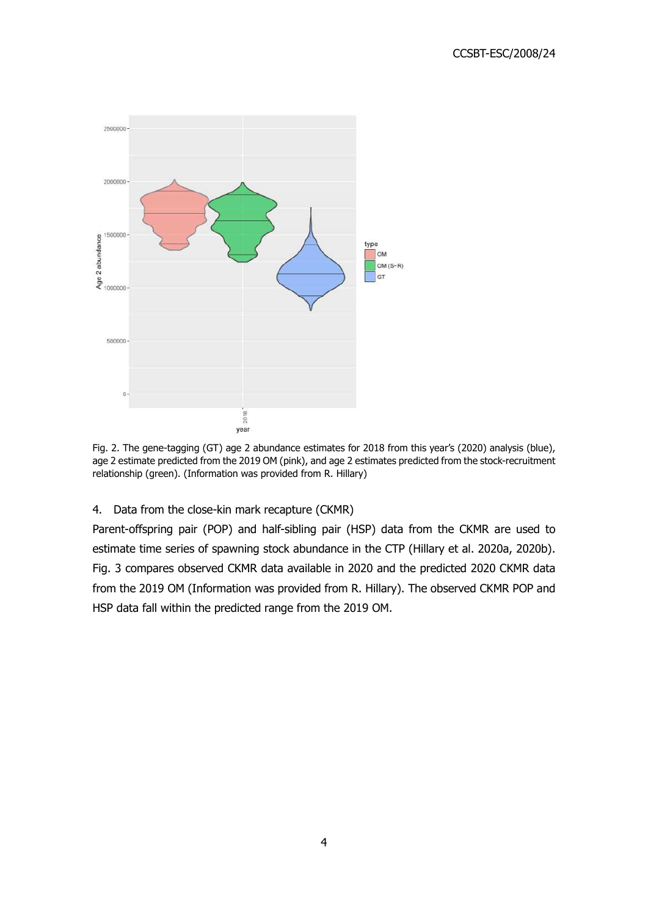

Fig. 2. The gene-tagging (GT) age 2 abundance estimates for 2018 from this year's (2020) analysis (blue), age 2 estimate predicted from the 2019 OM (pink), and age 2 estimates predicted from the stock-recruitment relationship (green). (Information was provided from R. Hillary)

# 4. Data from the close-kin mark recapture (CKMR)

Parent-offspring pair (POP) and half-sibling pair (HSP) data from the CKMR are used to estimate time series of spawning stock abundance in the CTP (Hillary et al. 2020a, 2020b). Fig. 3 compares observed CKMR data available in 2020 and the predicted 2020 CKMR data from the 2019 OM (Information was provided from R. Hillary). The observed CKMR POP and HSP data fall within the predicted range from the 2019 OM.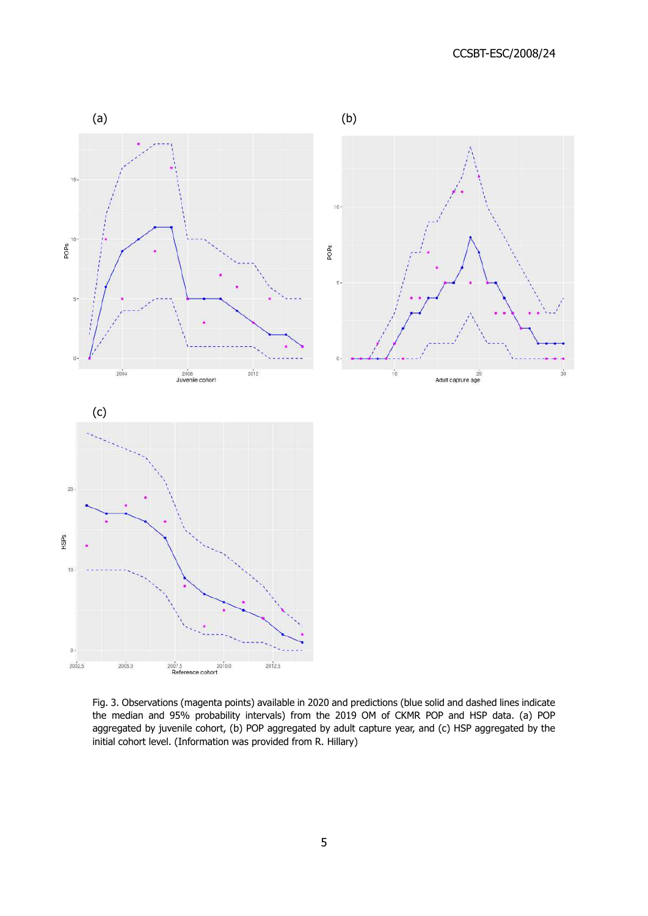

Fig. 3. Observations (magenta points) available in 2020 and predictions (blue solid and dashed lines indicate the median and 95% probability intervals) from the 2019 OM of CKMR POP and HSP data. (a) POP aggregated by juvenile cohort, (b) POP aggregated by adult capture year, and (c) HSP aggregated by the initial cohort level. (Information was provided from R. Hillary)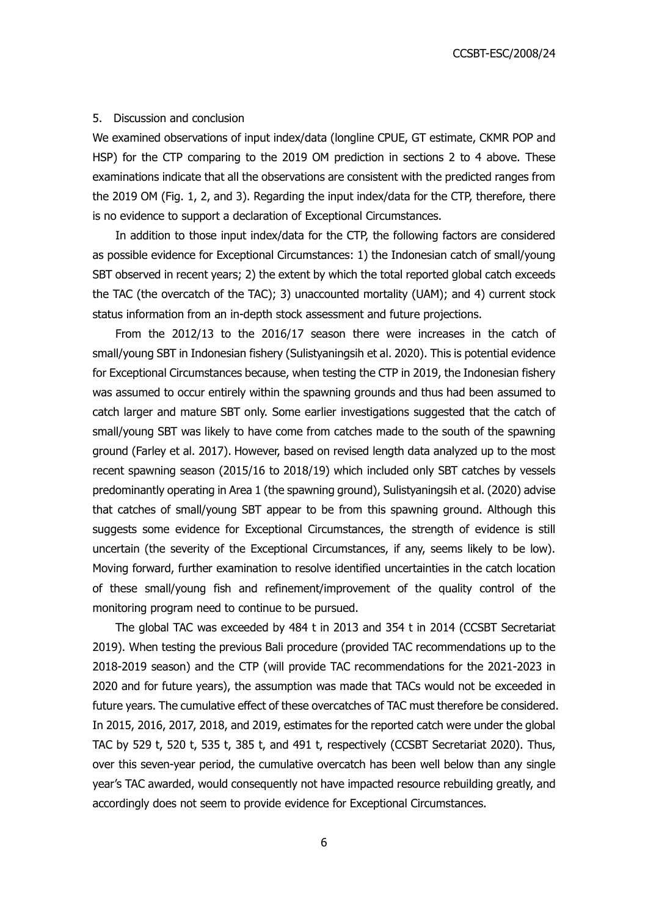#### 5. Discussion and conclusion

We examined observations of input index/data (longline CPUE, GT estimate, CKMR POP and HSP) for the CTP comparing to the 2019 OM prediction in sections 2 to 4 above. These examinations indicate that all the observations are consistent with the predicted ranges from the 2019 OM (Fig. 1, 2, and 3). Regarding the input index/data for the CTP, therefore, there is no evidence to support a declaration of Exceptional Circumstances.

In addition to those input index/data for the CTP, the following factors are considered as possible evidence for Exceptional Circumstances: 1) the Indonesian catch of small/young SBT observed in recent years; 2) the extent by which the total reported global catch exceeds the TAC (the overcatch of the TAC); 3) unaccounted mortality (UAM); and 4) current stock status information from an in-depth stock assessment and future projections.

From the 2012/13 to the 2016/17 season there were increases in the catch of small/young SBT in Indonesian fishery (Sulistyaningsih et al. 2020). This is potential evidence for Exceptional Circumstances because, when testing the CTP in 2019, the Indonesian fishery was assumed to occur entirely within the spawning grounds and thus had been assumed to catch larger and mature SBT only. Some earlier investigations suggested that the catch of small/young SBT was likely to have come from catches made to the south of the spawning ground (Farley et al. 2017). However, based on revised length data analyzed up to the most recent spawning season (2015/16 to 2018/19) which included only SBT catches by vessels predominantly operating in Area 1 (the spawning ground), Sulistyaningsih et al. (2020) advise that catches of small/young SBT appear to be from this spawning ground. Although this suggests some evidence for Exceptional Circumstances, the strength of evidence is still uncertain (the severity of the Exceptional Circumstances, if any, seems likely to be low). Moving forward, further examination to resolve identified uncertainties in the catch location of these small/young fish and refinement/improvement of the quality control of the monitoring program need to continue to be pursued.

The global TAC was exceeded by 484 t in 2013 and 354 t in 2014 (CCSBT Secretariat 2019). When testing the previous Bali procedure (provided TAC recommendations up to the 2018-2019 season) and the CTP (will provide TAC recommendations for the 2021-2023 in 2020 and for future years), the assumption was made that TACs would not be exceeded in future years. The cumulative effect of these overcatches of TAC must therefore be considered. In 2015, 2016, 2017, 2018, and 2019, estimates for the reported catch were under the global TAC by 529 t, 520 t, 535 t, 385 t, and 491 t, respectively (CCSBT Secretariat 2020). Thus, over this seven-year period, the cumulative overcatch has been well below than any single year's TAC awarded, would consequently not have impacted resource rebuilding greatly, and accordingly does not seem to provide evidence for Exceptional Circumstances.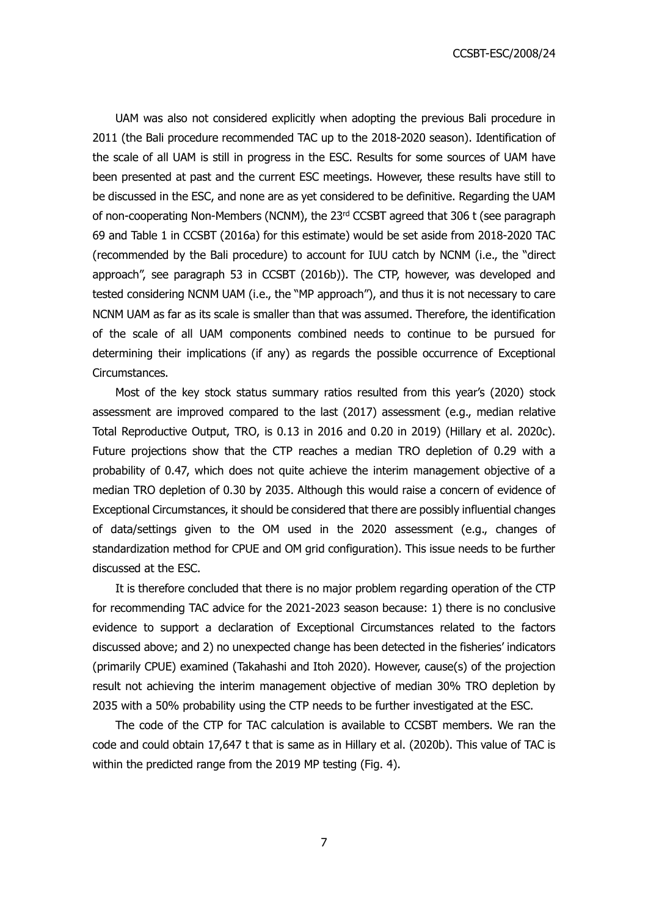CCSBT-ESC/2008/24

UAM was also not considered explicitly when adopting the previous Bali procedure in 2011 (the Bali procedure recommended TAC up to the 2018-2020 season). Identification of the scale of all UAM is still in progress in the ESC. Results for some sources of UAM have been presented at past and the current ESC meetings. However, these results have still to be discussed in the ESC, and none are as yet considered to be definitive. Regarding the UAM of non-cooperating Non-Members (NCNM), the 23<sup>rd</sup> CCSBT agreed that 306 t (see paragraph 69 and Table 1 in CCSBT (2016a) for this estimate) would be set aside from 2018-2020 TAC (recommended by the Bali procedure) to account for IUU catch by NCNM (i.e., the "direct approach", see paragraph 53 in CCSBT (2016b)). The CTP, however, was developed and tested considering NCNM UAM (i.e., the "MP approach"), and thus it is not necessary to care NCNM UAM as far as its scale is smaller than that was assumed. Therefore, the identification of the scale of all UAM components combined needs to continue to be pursued for determining their implications (if any) as regards the possible occurrence of Exceptional Circumstances.

Most of the key stock status summary ratios resulted from this year's (2020) stock assessment are improved compared to the last (2017) assessment (e.g., median relative Total Reproductive Output, TRO, is 0.13 in 2016 and 0.20 in 2019) (Hillary et al. 2020c). Future projections show that the CTP reaches a median TRO depletion of 0.29 with a probability of 0.47, which does not quite achieve the interim management objective of a median TRO depletion of 0.30 by 2035. Although this would raise a concern of evidence of Exceptional Circumstances, it should be considered that there are possibly influential changes of data/settings given to the OM used in the 2020 assessment (e.g., changes of standardization method for CPUE and OM grid configuration). This issue needs to be further discussed at the ESC.

It is therefore concluded that there is no major problem regarding operation of the CTP for recommending TAC advice for the 2021-2023 season because: 1) there is no conclusive evidence to support a declaration of Exceptional Circumstances related to the factors discussed above; and 2) no unexpected change has been detected in the fisheries' indicators (primarily CPUE) examined (Takahashi and Itoh 2020). However, cause(s) of the projection result not achieving the interim management objective of median 30% TRO depletion by 2035 with a 50% probability using the CTP needs to be further investigated at the ESC.

The code of the CTP for TAC calculation is available to CCSBT members. We ran the code and could obtain 17,647 t that is same as in Hillary et al. (2020b). This value of TAC is within the predicted range from the 2019 MP testing (Fig. 4).

7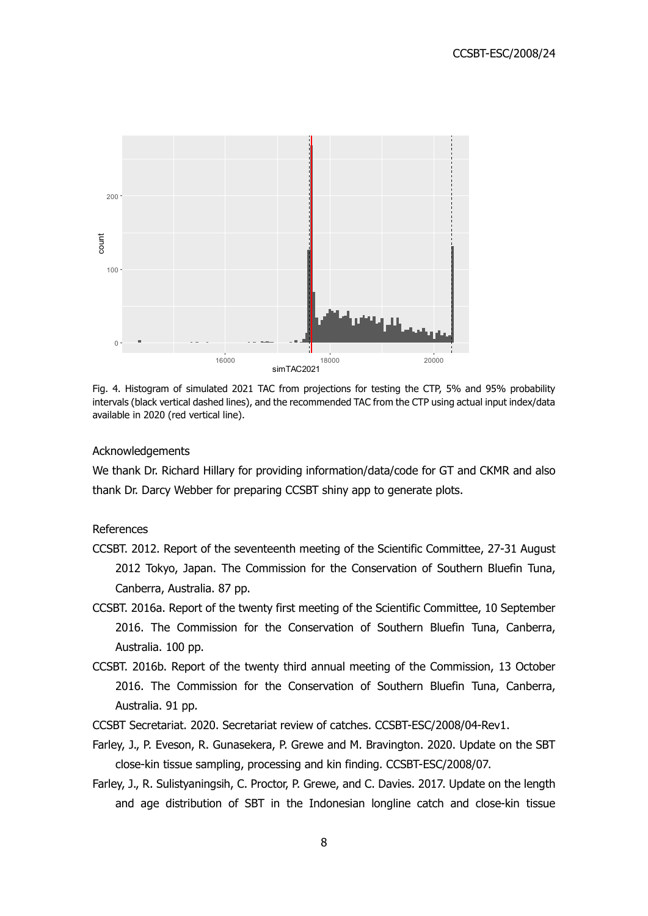

Fig. 4. Histogram of simulated 2021 TAC from projections for testing the CTP, 5% and 95% probability intervals (black vertical dashed lines), and the recommended TAC from the CTP using actual input index/data available in 2020 (red vertical line).

### Acknowledgements

We thank Dr. Richard Hillary for providing information/data/code for GT and CKMR and also thank Dr. Darcy Webber for preparing CCSBT shiny app to generate plots.

# References

- CCSBT. 2012. Report of the seventeenth meeting of the Scientific Committee, 27-31 August 2012 Tokyo, Japan. The Commission for the Conservation of Southern Bluefin Tuna, Canberra, Australia. 87 pp.
- CCSBT. 2016a. Report of the twenty first meeting of the Scientific Committee, 10 September 2016. The Commission for the Conservation of Southern Bluefin Tuna, Canberra, Australia. 100 pp.
- CCSBT. 2016b. Report of the twenty third annual meeting of the Commission, 13 October 2016. The Commission for the Conservation of Southern Bluefin Tuna, Canberra, Australia. 91 pp.
- CCSBT Secretariat. 2020. Secretariat review of catches. CCSBT-ESC/2008/04-Rev1.
- Farley, J., P. Eveson, R. Gunasekera, P. Grewe and M. Bravington. 2020. Update on the SBT close-kin tissue sampling, processing and kin finding. CCSBT-ESC/2008/07.
- Farley, J., R. Sulistyaningsih, C. Proctor, P. Grewe, and C. Davies. 2017. Update on the length and age distribution of SBT in the Indonesian longline catch and close-kin tissue